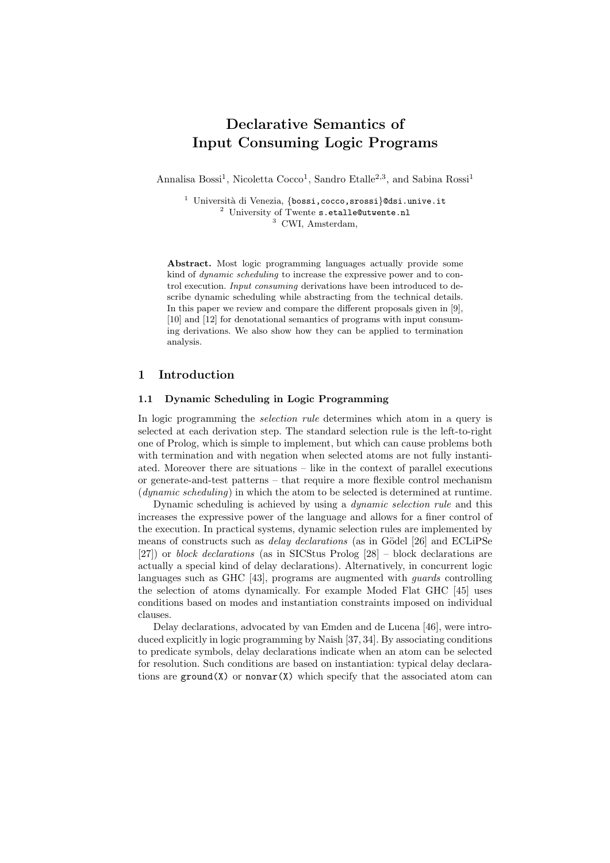# Declarative Semantics of Input Consuming Logic Programs

Annalisa Bossi<sup>1</sup>, Nicoletta Cocco<sup>1</sup>, Sandro Etalle<sup>2,3</sup>, and Sabina Rossi<sup>1</sup>

<sup>1</sup> Università di Venezia, {bossi, cocco, srossi}@dsi.unive.it <sup>2</sup> University of Twente s.etalle@utwente.nl <sup>3</sup> CWI, Amsterdam,

Abstract. Most logic programming languages actually provide some kind of dynamic scheduling to increase the expressive power and to control execution. Input consuming derivations have been introduced to describe dynamic scheduling while abstracting from the technical details. In this paper we review and compare the different proposals given in [9], [10] and [12] for denotational semantics of programs with input consuming derivations. We also show how they can be applied to termination analysis.

## 1 Introduction

#### 1.1 Dynamic Scheduling in Logic Programming

In logic programming the *selection rule* determines which atom in a query is selected at each derivation step. The standard selection rule is the left-to-right one of Prolog, which is simple to implement, but which can cause problems both with termination and with negation when selected atoms are not fully instantiated. Moreover there are situations – like in the context of parallel executions or generate-and-test patterns – that require a more flexible control mechanism (dynamic scheduling) in which the atom to be selected is determined at runtime.

Dynamic scheduling is achieved by using a dynamic selection rule and this increases the expressive power of the language and allows for a finer control of the execution. In practical systems, dynamic selection rules are implemented by means of constructs such as *delay declarations* (as in Gödel [26] and ECLiPSe [27]) or block declarations (as in SICStus Prolog [28] – block declarations are actually a special kind of delay declarations). Alternatively, in concurrent logic languages such as GHC [43], programs are augmented with guards controlling the selection of atoms dynamically. For example Moded Flat GHC [45] uses conditions based on modes and instantiation constraints imposed on individual clauses.

Delay declarations, advocated by van Emden and de Lucena [46], were introduced explicitly in logic programming by Naish [37, 34]. By associating conditions to predicate symbols, delay declarations indicate when an atom can be selected for resolution. Such conditions are based on instantiation: typical delay declarations are ground(X) or nonvar $(X)$  which specify that the associated atom can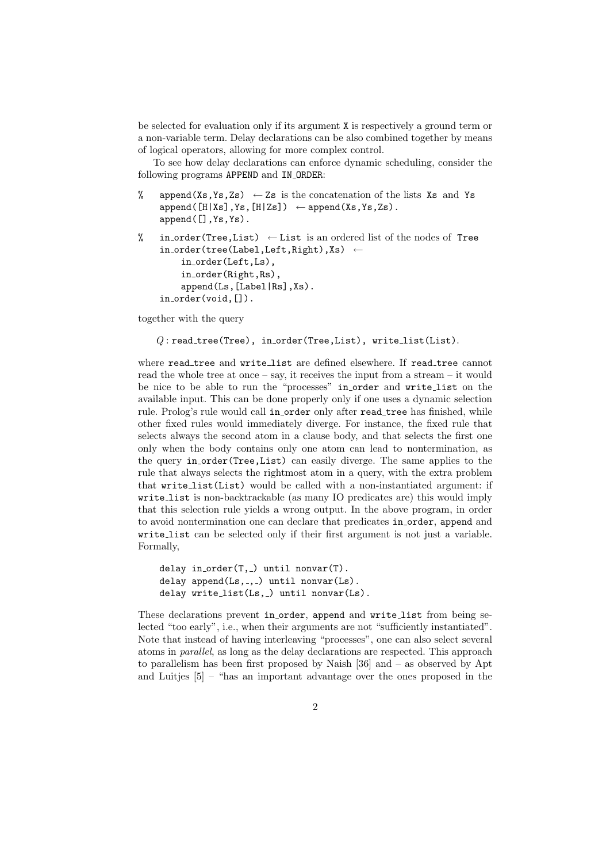be selected for evaluation only if its argument X is respectively a ground term or a non-variable term. Delay declarations can be also combined together by means of logical operators, allowing for more complex control.

To see how delay declarations can enforce dynamic scheduling, consider the following programs APPEND and IN ORDER:

% append(Xs, Ys, Zs)  $\leftarrow$  Zs is the concatenation of the lists Xs and Ys  $append([H|Xs],Ys,[H|Zs]) \leftarrow append(Xs,Ys,Zs).$ append([],Ys,Ys).

```
% in order(Tree, List) \leftarrow List is an ordered list of the nodes of Tree
    in order(tree(Label,Left,Right),Xs) ←
        in order(Left,Ls),
        in order(Right,Rs),
        append(Ls,[Label|Rs],Xs).
    in_order(void,[]).
```
together with the query

```
Q: read_tree(Tree), in_order(Tree,List), write_list(List).
```
where read tree and write list are defined elsewhere. If read tree cannot read the whole tree at once – say, it receives the input from a stream – it would be nice to be able to run the "processes" in order and write list on the available input. This can be done properly only if one uses a dynamic selection rule. Prolog's rule would call in order only after read tree has finished, while other fixed rules would immediately diverge. For instance, the fixed rule that selects always the second atom in a clause body, and that selects the first one only when the body contains only one atom can lead to nontermination, as the query in order(Tree,List) can easily diverge. The same applies to the rule that always selects the rightmost atom in a query, with the extra problem that write list(List) would be called with a non-instantiated argument: if write list is non-backtrackable (as many IO predicates are) this would imply that this selection rule yields a wrong output. In the above program, in order to avoid nontermination one can declare that predicates in order, append and write list can be selected only if their first argument is not just a variable. Formally,

```
delay in order(T, ) until nonvar(T).
delay append(Ls, _, _) until nonvar(Ls).
delay write_list(Ls, _) until nonvar(Ls).
```
These declarations prevent in order, append and write list from being selected "too early", i.e., when their arguments are not "sufficiently instantiated". Note that instead of having interleaving "processes", one can also select several atoms in parallel, as long as the delay declarations are respected. This approach to parallelism has been first proposed by Naish [36] and – as observed by Apt and Luitjes [5] – "has an important advantage over the ones proposed in the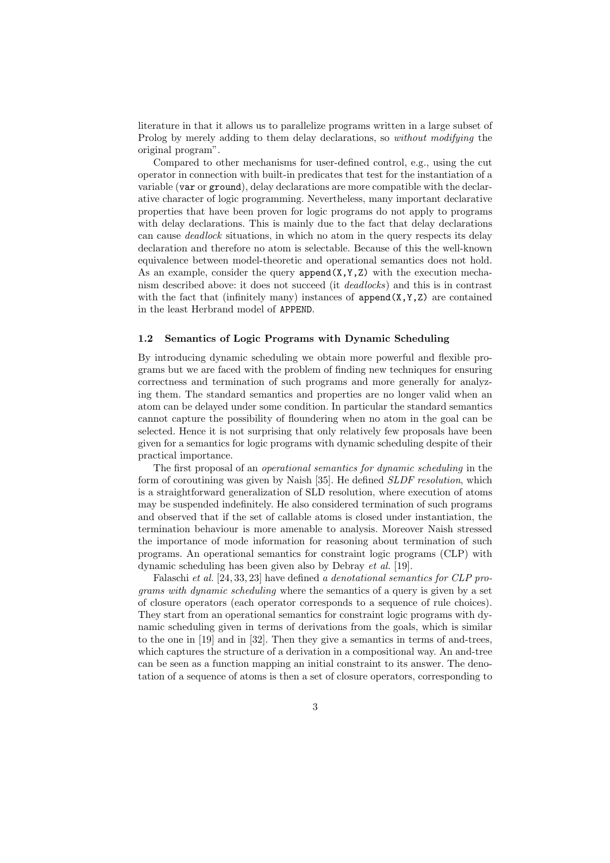literature in that it allows us to parallelize programs written in a large subset of Prolog by merely adding to them delay declarations, so *without modifying* the original program".

Compared to other mechanisms for user-defined control, e.g., using the cut operator in connection with built-in predicates that test for the instantiation of a variable (var or ground), delay declarations are more compatible with the declarative character of logic programming. Nevertheless, many important declarative properties that have been proven for logic programs do not apply to programs with delay declarations. This is mainly due to the fact that delay declarations can cause deadlock situations, in which no atom in the query respects its delay declaration and therefore no atom is selectable. Because of this the well-known equivalence between model-theoretic and operational semantics does not hold. As an example, consider the query  $append(X, Y, Z)$  with the execution mechanism described above: it does not succeed (it deadlocks) and this is in contrast with the fact that (infinitely many) instances of  $append(X, Y, Z)$  are contained in the least Herbrand model of APPEND.

#### 1.2 Semantics of Logic Programs with Dynamic Scheduling

By introducing dynamic scheduling we obtain more powerful and flexible programs but we are faced with the problem of finding new techniques for ensuring correctness and termination of such programs and more generally for analyzing them. The standard semantics and properties are no longer valid when an atom can be delayed under some condition. In particular the standard semantics cannot capture the possibility of floundering when no atom in the goal can be selected. Hence it is not surprising that only relatively few proposals have been given for a semantics for logic programs with dynamic scheduling despite of their practical importance.

The first proposal of an operational semantics for dynamic scheduling in the form of coroutining was given by Naish [35]. He defined SLDF resolution, which is a straightforward generalization of SLD resolution, where execution of atoms may be suspended indefinitely. He also considered termination of such programs and observed that if the set of callable atoms is closed under instantiation, the termination behaviour is more amenable to analysis. Moreover Naish stressed the importance of mode information for reasoning about termination of such programs. An operational semantics for constraint logic programs (CLP) with dynamic scheduling has been given also by Debray et al. [19].

Falaschi et al. [24, 33, 23] have defined a denotational semantics for CLP programs with dynamic scheduling where the semantics of a query is given by a set of closure operators (each operator corresponds to a sequence of rule choices). They start from an operational semantics for constraint logic programs with dynamic scheduling given in terms of derivations from the goals, which is similar to the one in [19] and in [32]. Then they give a semantics in terms of and-trees, which captures the structure of a derivation in a compositional way. An and-tree can be seen as a function mapping an initial constraint to its answer. The denotation of a sequence of atoms is then a set of closure operators, corresponding to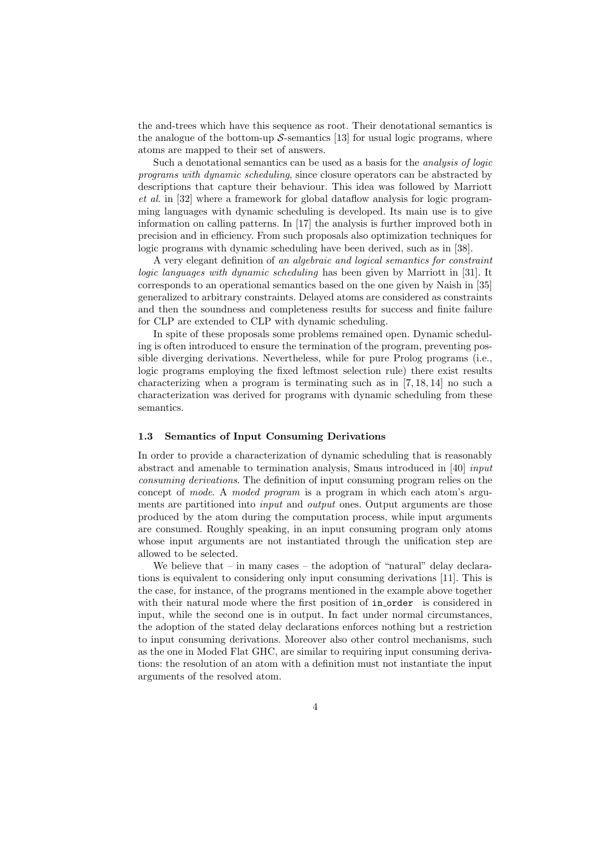the and-trees which have this sequence as root. Their denotational semantics is the analogue of the bottom-up  $S$ -semantics [13] for usual logic programs, where atoms are mapped to their set of answers.

Such a denotational semantics can be used as a basis for the analysis of logic programs with dynamic scheduling, since closure operators can be abstracted by descriptions that capture their behaviour. This idea was followed by Marriott et al. in [32] where a framework for global dataflow analysis for logic programming languages with dynamic scheduling is developed. Its main use is to give information on calling patterns. In [17] the analysis is further improved both in precision and in efficiency. From such proposals also optimization techniques for logic programs with dynamic scheduling have been derived, such as in [38].

A very elegant definition of an algebraic and logical semantics for constraint logic languages with dynamic scheduling has been given by Marriott in [31]. It corresponds to an operational semantics based on the one given by Naish in [35] generalized to arbitrary constraints. Delayed atoms are considered as constraints and then the soundness and completeness results for success and finite failure for CLP are extended to CLP with dynamic scheduling.

In spite of these proposals some problems remained open. Dynamic scheduling is often introduced to ensure the termination of the program, preventing possible diverging derivations. Nevertheless, while for pure Prolog programs (i.e., logic programs employing the fixed leftmost selection rule) there exist results characterizing when a program is terminating such as in [7, 18, 14] no such a characterization was derived for programs with dynamic scheduling from these semantics.

#### 1.3 Semantics of Input Consuming Derivations

In order to provide a characterization of dynamic scheduling that is reasonably abstract and amenable to termination analysis, Smaus introduced in [40] input consuming derivations. The definition of input consuming program relies on the concept of mode. A moded program is a program in which each atom's arguments are partitioned into *input* and *output* ones. Output arguments are those produced by the atom during the computation process, while input arguments are consumed. Roughly speaking, in an input consuming program only atoms whose input arguments are not instantiated through the unification step are allowed to be selected.

We believe that  $-$  in many cases  $-$  the adoption of "natural" delay declarations is equivalent to considering only input consuming derivations [11]. This is the case, for instance, of the programs mentioned in the example above together with their natural mode where the first position of in\_order is considered in input, while the second one is in output. In fact under normal circumstances, the adoption of the stated delay declarations enforces nothing but a restriction to input consuming derivations. Moreover also other control mechanisms, such as the one in Moded Flat GHC, are similar to requiring input consuming derivations: the resolution of an atom with a definition must not instantiate the input arguments of the resolved atom.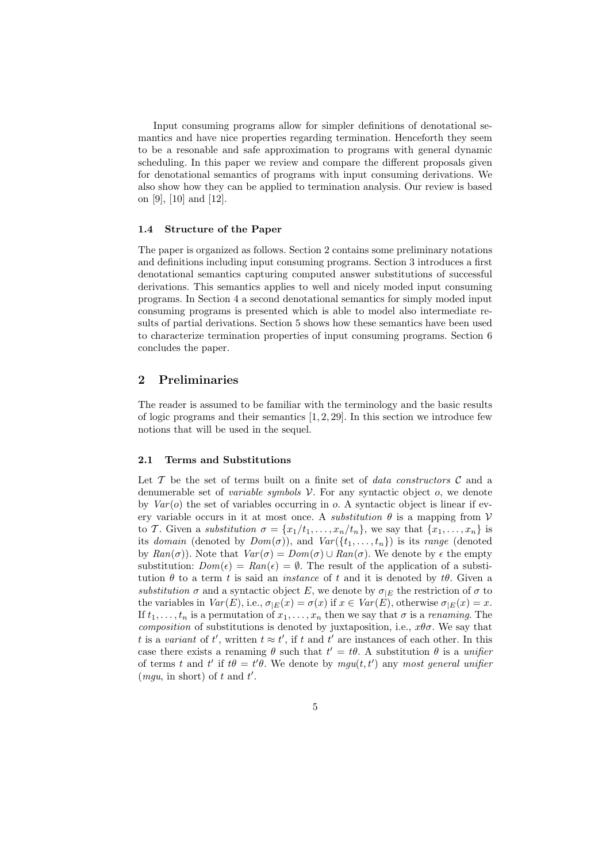Input consuming programs allow for simpler definitions of denotational semantics and have nice properties regarding termination. Henceforth they seem to be a resonable and safe approximation to programs with general dynamic scheduling. In this paper we review and compare the different proposals given for denotational semantics of programs with input consuming derivations. We also show how they can be applied to termination analysis. Our review is based on [9], [10] and [12].

#### 1.4 Structure of the Paper

The paper is organized as follows. Section 2 contains some preliminary notations and definitions including input consuming programs. Section 3 introduces a first denotational semantics capturing computed answer substitutions of successful derivations. This semantics applies to well and nicely moded input consuming programs. In Section 4 a second denotational semantics for simply moded input consuming programs is presented which is able to model also intermediate results of partial derivations. Section 5 shows how these semantics have been used to characterize termination properties of input consuming programs. Section 6 concludes the paper.

## 2 Preliminaries

The reader is assumed to be familiar with the terminology and the basic results of logic programs and their semantics  $[1, 2, 29]$ . In this section we introduce few notions that will be used in the sequel.

#### 2.1 Terms and Substitutions

Let T be the set of terms built on a finite set of *data constructors*  $\mathcal C$  and a denumerable set of *variable symbols*  $V$ . For any syntactic object  $o$ , we denote by  $Var(o)$  the set of variables occurring in  $o$ . A syntactic object is linear if every variable occurs in it at most once. A *substitution*  $\theta$  is a mapping from  $V$ to T. Given a substitution  $\sigma = \{x_1/t_1, \ldots, x_n/t_n\}$ , we say that  $\{x_1, \ldots, x_n\}$  is its domain (denoted by  $Dom(\sigma)$ ), and  $Var({t_1, \ldots, t_n})$  is its range (denoted by  $Ran(\sigma)$ . Note that  $Var(\sigma) = Dom(\sigma) \cup Ran(\sigma)$ . We denote by  $\epsilon$  the empty substitution:  $Dom(\epsilon) = Ran(\epsilon) = \emptyset$ . The result of the application of a substitution  $\theta$  to a term t is said an *instance* of t and it is denoted by  $t\theta$ . Given a substitution  $\sigma$  and a syntactic object E, we denote by  $\sigma_{|E}$  the restriction of  $\sigma$  to the variables in  $Var(E)$ , i.e.,  $\sigma_{|E}(x) = \sigma(x)$  if  $x \in Var(E)$ , otherwise  $\sigma_{|E}(x) = x$ . If  $t_1, \ldots, t_n$  is a permutation of  $x_1, \ldots, x_n$  then we say that  $\sigma$  is a *renaming*. The composition of substitutions is denoted by juxtaposition, i.e.,  $x\theta\sigma$ . We say that t is a variant of t', written  $t \approx t'$ , if t and t' are instances of each other. In this case there exists a renaming  $\theta$  such that  $t' = t\theta$ . A substitution  $\theta$  is a unifier of terms t and t' if  $t\theta = t'\theta$ . We denote by  $mgu(t, t')$  any most general unifier (*mgu*, in short) of t and  $t'$ .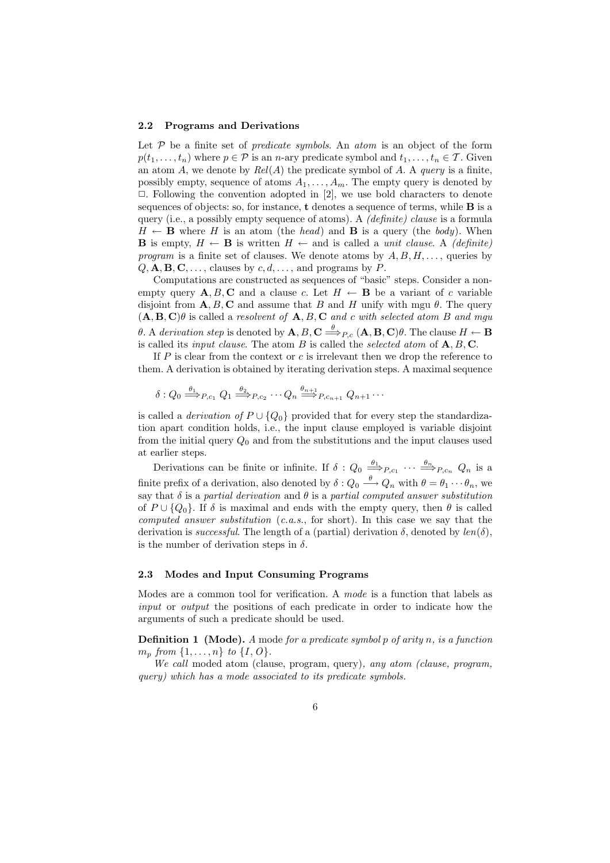#### 2.2 Programs and Derivations

Let  $P$  be a finite set of *predicate symbols*. An *atom* is an object of the form  $p(t_1, \ldots, t_n)$  where  $p \in \mathcal{P}$  is an *n*-ary predicate symbol and  $t_1, \ldots, t_n \in \mathcal{T}$ . Given an atom A, we denote by  $Rel(A)$  the predicate symbol of A. A query is a finite, possibly empty, sequence of atoms  $A_1, \ldots, A_m$ . The empty query is denoted by  $\Box$ . Following the convention adopted in [2], we use bold characters to denote sequences of objects: so, for instance, t denotes a sequence of terms, while B is a query (i.e., a possibly empty sequence of atoms). A *(definite) clause* is a formula  $H \leftarrow$  **B** where H is an atom (the head) and **B** is a query (the body). When **B** is empty,  $H \leftarrow$  **B** is written  $H \leftarrow$  and is called a *unit clause.* A *(definite)* program is a finite set of clauses. We denote atoms by  $A, B, H, \ldots$ , queries by  $Q, \mathbf{A}, \mathbf{B}, \mathbf{C}, \ldots$ , clauses by  $c, d, \ldots$ , and programs by P.

Computations are constructed as sequences of "basic" steps. Consider a nonempty query  $\mathbf{A}, B, \mathbf{C}$  and a clause c. Let  $H \leftarrow \mathbf{B}$  be a variant of c variable disjoint from  $\mathbf{A}, B, \mathbf{C}$  and assume that B and H unify with mgu  $\theta$ . The query  $(\mathbf{A}, \mathbf{B}, \mathbf{C})\theta$  is called a resolvent of  $\mathbf{A}, B, \mathbf{C}$  and c with selected atom B and mgu θ. A derivation step is denoted by  $\mathbf{A}, B, \mathbf{C} \stackrel{\theta}{\Longrightarrow}_{P,c} (\mathbf{A}, \mathbf{B}, \mathbf{C})\theta$ . The clause  $H \leftarrow \mathbf{B}$ is called its *input clause*. The atom  $B$  is called the *selected atom* of  $A, B, C$ .

If  $P$  is clear from the context or  $c$  is irrelevant then we drop the reference to them. A derivation is obtained by iterating derivation steps. A maximal sequence

$$
\delta: Q_0 \stackrel{\theta_1}{\Longrightarrow}_{P,c_1} Q_1 \stackrel{\theta_2}{\Longrightarrow}_{P,c_2} \cdots Q_n \stackrel{\theta_{n+1}}{\Longrightarrow}_{P,c_{n+1}} Q_{n+1} \cdots
$$

is called a *derivation of*  $P \cup \{Q_0\}$  provided that for every step the standardization apart condition holds, i.e., the input clause employed is variable disjoint from the initial query  $Q_0$  and from the substitutions and the input clauses used at earlier steps.

Derivations can be finite or infinite. If  $\delta: Q_0 \stackrel{\theta_1}{\Longrightarrow}_{P,c_1} \cdots \stackrel{\theta_n}{\Longrightarrow}_{P,c_n} Q_n$  is a finite prefix of a derivation, also denoted by  $\delta: Q_0 \stackrel{\theta}{\longrightarrow} Q_n$  with  $\theta = \theta_1 \cdots \theta_n$ , we say that  $\delta$  is a partial derivation and  $\theta$  is a partial computed answer substitution of  $P \cup \{Q_0\}$ . If  $\delta$  is maximal and ends with the empty query, then  $\theta$  is called computed answer substitution  $(c.a.s., for short)$ . In this case we say that the derivation is *successful*. The length of a (partial) derivation  $\delta$ , denoted by  $len(\delta)$ , is the number of derivation steps in  $\delta$ .

#### 2.3 Modes and Input Consuming Programs

Modes are a common tool for verification. A mode is a function that labels as input or *output* the positions of each predicate in order to indicate how the arguments of such a predicate should be used.

**Definition 1** (Mode). A mode for a predicate symbol p of arity n, is a function  $m_n$  from  $\{1, \ldots, n\}$  to  $\{I, O\}$ .

We call moded atom (clause, program, query), any atom (clause, program, query) which has a mode associated to its predicate symbols.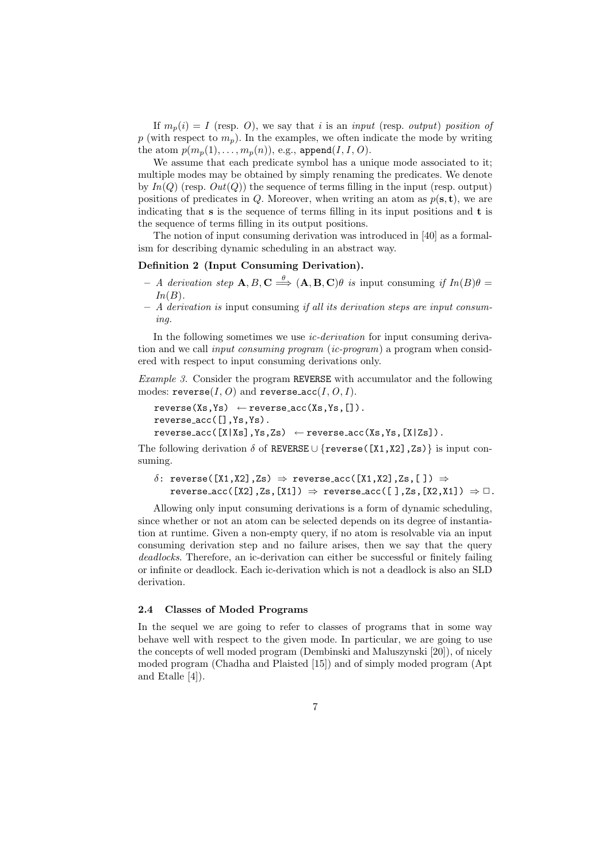If  $m_n(i) = I$  (resp. O), we say that i is an input (resp. output) position of p (with respect to  $m_p$ ). In the examples, we often indicate the mode by writing the atom  $p(m_p(1), \ldots, m_p(n))$ , e.g., append $(I, I, O)$ .

We assume that each predicate symbol has a unique mode associated to it; multiple modes may be obtained by simply renaming the predicates. We denote by  $In(O)$  (resp.  $Out(O)$ ) the sequence of terms filling in the input (resp. output) positions of predicates in Q. Moreover, when writing an atom as  $p(s, t)$ , we are indicating that  $s$  is the sequence of terms filling in its input positions and  $t$  is the sequence of terms filling in its output positions.

The notion of input consuming derivation was introduced in [40] as a formalism for describing dynamic scheduling in an abstract way.

## Definition 2 (Input Consuming Derivation).

- $-$  A derivation step  $\mathbf{A}, B, \mathbf{C} \stackrel{\theta}{\Longrightarrow} (\mathbf{A}, \mathbf{B}, \mathbf{C})\theta$  is input consuming if  $In(B)\theta =$  $In(B).$
- $A$  derivation is input consuming if all its derivation steps are input consuming.

In the following sometimes we use *ic-derivation* for input consuming derivation and we call *input consuming program* (*ic-program*) a program when considered with respect to input consuming derivations only.

Example 3. Consider the program REVERSE with accumulator and the following modes: reverse $(I, O)$  and reverse\_acc $(I, O, I)$ .

```
reverse(Xs,Ys) \leftarrow reverse\_acc(Xs,Ys,[]).
reverse acc([],Ys,Ys).
reverse\_acc([X|Xs],Ys,Zs) \leftarrow reverse\_acc(Xs,Ys,[X|Zs]).
```
The following derivation  $\delta$  of REVERSE ∪ {reverse([X1,X2],Zs)} is input consuming.

```
δ: reverse([X1,X2],Zs) \Rightarrow reverse_acc([X1,X2],Zs,[]) \Rightarrowreverse_acc([X2],Zs,[X1]) \Rightarrow reverse_acc([],Zs,[X2, X1]) \Rightarrow \Box.
```
Allowing only input consuming derivations is a form of dynamic scheduling, since whether or not an atom can be selected depends on its degree of instantiation at runtime. Given a non-empty query, if no atom is resolvable via an input consuming derivation step and no failure arises, then we say that the query deadlocks. Therefore, an ic-derivation can either be successful or finitely failing or infinite or deadlock. Each ic-derivation which is not a deadlock is also an SLD derivation.

## 2.4 Classes of Moded Programs

In the sequel we are going to refer to classes of programs that in some way behave well with respect to the given mode. In particular, we are going to use the concepts of well moded program (Dembinski and Maluszynski [20]), of nicely moded program (Chadha and Plaisted [15]) and of simply moded program (Apt and Etalle [4]).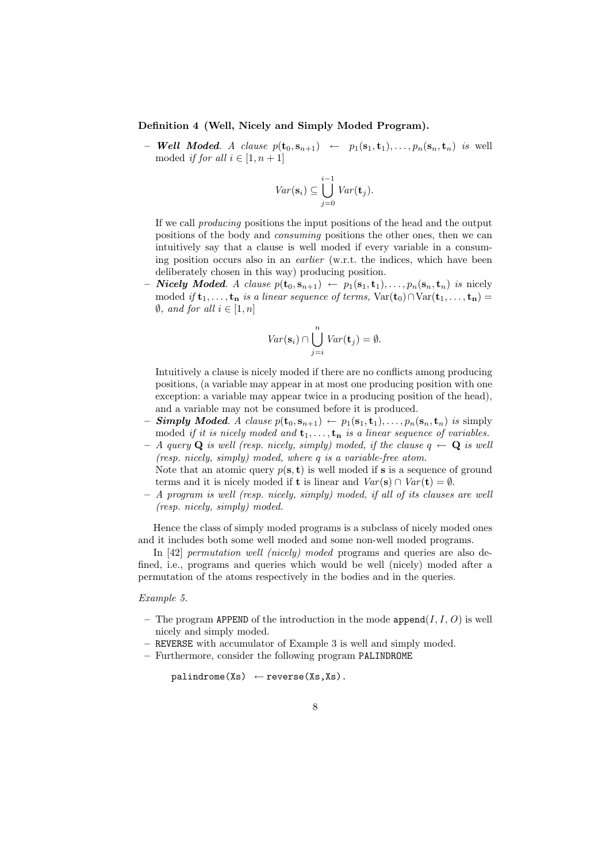#### Definition 4 (Well, Nicely and Simply Moded Program).

– Well Moded. A clause  $p(\mathbf{t}_0, \mathbf{s}_{n+1}) \leftarrow p_1(\mathbf{s}_1, \mathbf{t}_1), \ldots, p_n(\mathbf{s}_n, \mathbf{t}_n)$  is well moded *if for all*  $i \in [1, n+1]$ 

$$
Var(\mathbf{s}_i) \subseteq \bigcup_{j=0}^{i-1} Var(\mathbf{t}_j).
$$

If we call producing positions the input positions of the head and the output positions of the body and consuming positions the other ones, then we can intuitively say that a clause is well moded if every variable in a consuming position occurs also in an earlier (w.r.t. the indices, which have been deliberately chosen in this way) producing position.

– **Nicely Moded**. A clause  $p(\mathbf{t}_0, \mathbf{s}_{n+1}) \leftarrow p_1(\mathbf{s}_1, \mathbf{t}_1), \ldots, p_n(\mathbf{s}_n, \mathbf{t}_n)$  is nicely moded if  $\mathbf{t}_1, \ldots, \mathbf{t}_n$  is a linear sequence of terms,  $\text{Var}(\mathbf{t}_0) \cap \text{Var}(\mathbf{t}_1, \ldots, \mathbf{t}_n) =$  $\emptyset$ , and for all  $i \in [1, n]$ 

$$
Var(\mathbf{s}_i) \cap \bigcup_{j=i}^{n} Var(\mathbf{t}_j) = \emptyset.
$$

Intuitively a clause is nicely moded if there are no conflicts among producing positions, (a variable may appear in at most one producing position with one exception: a variable may appear twice in a producing position of the head), and a variable may not be consumed before it is produced.

- **Simply Moded.** A clause  $p(\mathbf{t}_0, \mathbf{s}_{n+1}) \leftarrow p_1(\mathbf{s}_1, \mathbf{t}_1), \ldots, p_n(\mathbf{s}_n, \mathbf{t}_n)$  is simply moded if it is nicely moded and  $t_1, \ldots, t_n$  is a linear sequence of variables.
- $A$  query Q is well (resp. nicely, simply) moded, if the clause  $q \leftarrow Q$  is well (resp. nicely, simply) moded, where q is a variable-free atom.
- Note that an atomic query  $p(s, t)$  is well moded if s is a sequence of ground terms and it is nicely moded if **t** is linear and  $Var(s) \cap Var(t) = \emptyset$ .
- A program is well (resp. nicely, simply) moded, if all of its clauses are well (resp. nicely, simply) moded.

Hence the class of simply moded programs is a subclass of nicely moded ones and it includes both some well moded and some non-well moded programs.

In [42] *permutation well (nicely) moded* programs and queries are also defined, i.e., programs and queries which would be well (nicely) moded after a permutation of the atoms respectively in the bodies and in the queries.

#### Example 5.

- The program APPEND of the introduction in the mode append $(I, I, O)$  is well nicely and simply moded.
- REVERSE with accumulator of Example 3 is well and simply moded.
- Furthermore, consider the following program PALINDROME

 $palingname(Xs) \leftarrow reverse(Xs,Xs)$ .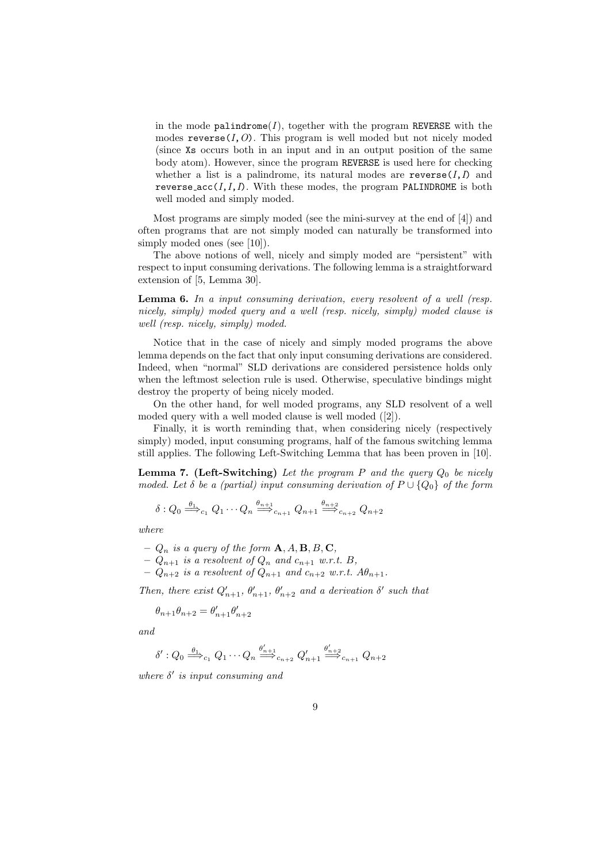in the mode palindrome( $I$ ), together with the program REVERSE with the modes  $reverse(I, O)$ . This program is well moded but not nicely moded (since Xs occurs both in an input and in an output position of the same body atom). However, since the program REVERSE is used here for checking whether a list is a palindrome, its natural modes are reverse( $I, I$ ) and reverse\_acc $(I, I, I)$ . With these modes, the program PALINDROME is both well moded and simply moded.

Most programs are simply moded (see the mini-survey at the end of [4]) and often programs that are not simply moded can naturally be transformed into simply moded ones (see [10]).

The above notions of well, nicely and simply moded are "persistent" with respect to input consuming derivations. The following lemma is a straightforward extension of [5, Lemma 30].

**Lemma 6.** In a input consuming derivation, every resolvent of a well (resp. nicely, simply) moded query and a well (resp. nicely, simply) moded clause is well (resp. nicely, simply) moded.

Notice that in the case of nicely and simply moded programs the above lemma depends on the fact that only input consuming derivations are considered. Indeed, when "normal" SLD derivations are considered persistence holds only when the leftmost selection rule is used. Otherwise, speculative bindings might destroy the property of being nicely moded.

On the other hand, for well moded programs, any SLD resolvent of a well moded query with a well moded clause is well moded ([2]).

Finally, it is worth reminding that, when considering nicely (respectively simply) moded, input consuming programs, half of the famous switching lemma still applies. The following Left-Switching Lemma that has been proven in [10].

**Lemma 7.** (Left-Switching) Let the program  $P$  and the query  $Q_0$  be nicely moded. Let  $\delta$  be a (partial) input consuming derivation of  $P \cup \{Q_0\}$  of the form

$$
\delta: Q_0 \stackrel{\theta_1}{\Longrightarrow}_{c_1} Q_1 \cdots Q_n \stackrel{\theta_{n+1}}{\Longrightarrow}_{c_{n+1}} Q_{n+1} \stackrel{\theta_{n+2}}{\Longrightarrow}_{c_{n+2}} Q_{n+2}
$$

where

- $Q_n$  is a query of the form  $\mathbf{A}, A, \mathbf{B}, B, \mathbf{C},$
- $-Q_{n+1}$  is a resolvent of  $Q_n$  and  $c_{n+1}$  w.r.t. B,
- $-Q_{n+2}$  is a resolvent of  $Q_{n+1}$  and  $c_{n+2}$  w.r.t.  $A\theta_{n+1}$ .

Then, there exist  $Q'_{n+1}$ ,  $\theta'_{n+1}$ ,  $\theta'_{n+2}$  and a derivation  $\delta'$  such that

$$
\theta_{n+1}\theta_{n+2}=\theta'_{n+1}\theta'_{n+2}
$$

and

$$
\delta': Q_0 \stackrel{\theta_1}{\Longrightarrow}_{c_1} Q_1 \cdots Q_n \stackrel{\theta'_{n+1}}{\Longrightarrow}_{c_{n+2}} Q'_{n+1} \stackrel{\theta'_{n+2}}{\Longrightarrow}_{c_{n+1}} Q_{n+2}
$$

where  $\delta'$  is input consuming and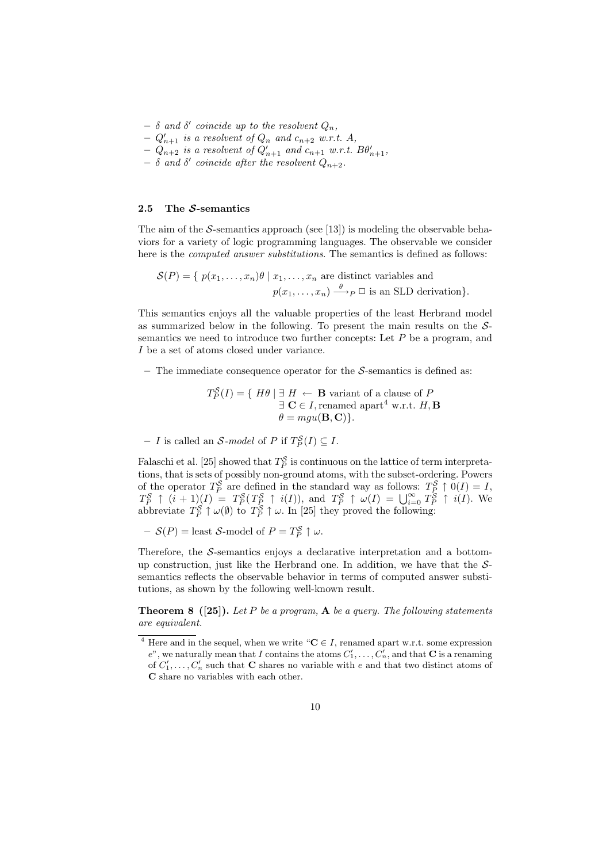$\delta$  and  $\delta'$  coincide up to the resolvent  $Q_n$ ,

 $-Q'_{n+1}$  is a resolvent of  $Q_n$  and  $c_{n+2}$  w.r.t. A,

- $-Q_{n+2}$  is a resolvent of  $Q'_{n+1}$  and  $c_{n+1}$  w.r.t.  $B\theta'_{n+1}$ ,
- $\delta$  and  $\delta'$  coincide after the resolvent  $Q_{n+2}$ .

## 2.5 The  $S$ -semantics

The aim of the S-semantics approach (see [13]) is modeling the observable behaviors for a variety of logic programming languages. The observable we consider here is the *computed answer substitutions*. The semantics is defined as follows:

 $\mathcal{S}(P) = \{ p(x_1, \ldots, x_n) \theta \mid x_1, \ldots, x_n \text{ are distinct variables and } \theta \}$  $p(x_1, \ldots, x_n) \stackrel{\theta}{\longrightarrow}_P \square$  is an SLD derivation}.

This semantics enjoys all the valuable properties of the least Herbrand model as summarized below in the following. To present the main results on the Ssemantics we need to introduce two further concepts: Let  $P$  be a program, and I be a set of atoms closed under variance.

– The immediate consequence operator for the  $S$ -semantics is defined as:

 $T_P^{\mathcal{S}}(I) = \{ H\theta \mid \exists H \leftarrow \mathbf{B} \text{ variant of a clause of } P \}$  $\exists \mathbf{C} \in I$ , renamed apart<sup>4</sup> w.r.t.  $H, \mathbf{B}$  $\theta = \text{mau}(\mathbf{B}, \mathbf{C})$ .

- I is called an S-model of P if  $T_P^{\mathcal{S}}(I) \subseteq I$ .

Falaschi et al. [25] showed that  $T_P^{\mathcal{S}}$  is continuous on the lattice of term interpretations, that is sets of possibly non-ground atoms, with the subset-ordering. Powers of the operator  $T_P^{\mathcal{S}}$  are defined in the standard way as follows:  $T_P^{\mathcal{S}} \uparrow 0(I) = I$ ,  $T_P^{\mathcal{S}} \uparrow (i+1)(I) = T_P^{\mathcal{S}}(T_P^{\mathcal{S}} \uparrow i(I)),$  and  $T_P^{\mathcal{S}} \uparrow \omega(I) = \bigcup_{i=0}^{\infty} T_P^{\mathcal{S}} \uparrow i(I).$  We abbreviate  $T_P^{\mathcal{S}} \uparrow \omega(\emptyset)$  to  $T_P^{\mathcal{S}} \uparrow \omega$ . In [25] they proved the following:

 $- S(P) =$  least S-model of  $P = T_P^S \uparrow \omega$ .

Therefore, the S-semantics enjoys a declarative interpretation and a bottomup construction, just like the Herbrand one. In addition, we have that the  $S$ semantics reflects the observable behavior in terms of computed answer substitutions, as shown by the following well-known result.

**Theorem 8 ([25]).** Let P be a program,  $\bf{A}$  be a query. The following statements are equivalent.

<sup>&</sup>lt;sup>4</sup> Here and in the sequel, when we write " $C \in I$ , renamed apart w.r.t. some expression  $e^v$ , we naturally mean that I contains the atoms  $C'_1, \ldots, C'_n$ , and that **C** is a renaming of  $C'_1, \ldots, C'_n$  such that **C** shares no variable with e and that two distinct atoms of C share no variables with each other.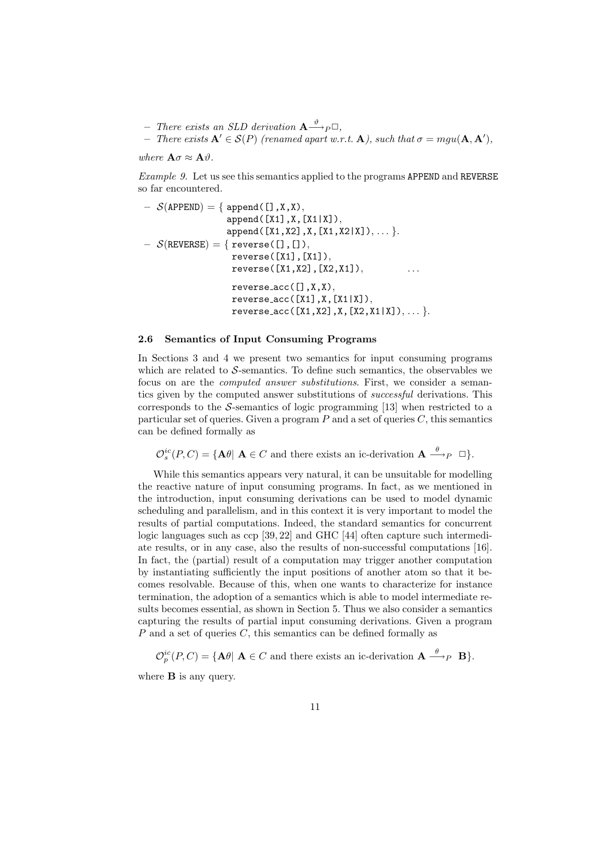$-$  There exists an SLD derivation  ${\bf A} {\stackrel{\vartheta}{\longrightarrow}}_P \Box$ , - There exists  $\mathbf{A}' \in \mathcal{S}(P)$  (renamed apart w.r.t.  $\mathbf{A}$ ), such that  $\sigma = mgu(\mathbf{A}, \mathbf{A}'),$ 

where  $\mathbf{A}\sigma \approx \mathbf{A}\vartheta$ .

Example 9. Let us see this semantics applied to the programs APPEND and REVERSE so far encountered.

$$
- S(\text{APPEND}) = \{ \text{append}([\texttt{J}, \texttt{X}, \texttt{X}), \\ \text{append}([\texttt{X1}], \texttt{X}, [\texttt{X1}|\texttt{X}]), \\ \text{append}([\texttt{X1}, \texttt{X2}], \texttt{X}, [\texttt{X1}, \texttt{X2}|\texttt{X}]), \dots \}.
$$

$$
- S(\text{REVERSE}) = \{ \text{reverse}([\texttt{I}, \texttt{I}]), \\ \text{reverse}([\texttt{X1}], [\texttt{X1}]), \\ \text{reverse}([\texttt{X1}, \texttt{X2}], [\texttt{X2}, \texttt{X1}]), \\ \text{reverse}(\texttt{X1}, \texttt{X2}], [\texttt{X1}|\texttt{X}]), \\ \text{reverse}(\texttt{X1}, \texttt{X}, [\texttt{X1}|\texttt{X}]), \\ \text{reverse}(\texttt{X1}, \texttt{X2}], \texttt{X}, [\texttt{X2}, \texttt{X1}|\texttt{X}]), \dots \}.
$$

#### 2.6 Semantics of Input Consuming Programs

In Sections 3 and 4 we present two semantics for input consuming programs which are related to  $S$ -semantics. To define such semantics, the observables we focus on are the computed answer substitutions. First, we consider a semantics given by the computed answer substitutions of successful derivations. This corresponds to the  $S$ -semantics of logic programming [13] when restricted to a particular set of queries. Given a program  $P$  and a set of queries  $C$ , this semantics can be defined formally as

 $\mathcal{O}_s^{ic}(P,C) = {\bf{A}}\theta \mid {\bf{A}} \in C$  and there exists an ic-derivation  ${\bf{A}} \stackrel{\theta}{\longrightarrow}_P \Box$ .

While this semantics appears very natural, it can be unsuitable for modelling the reactive nature of input consuming programs. In fact, as we mentioned in the introduction, input consuming derivations can be used to model dynamic scheduling and parallelism, and in this context it is very important to model the results of partial computations. Indeed, the standard semantics for concurrent logic languages such as ccp [39, 22] and GHC [44] often capture such intermediate results, or in any case, also the results of non-successful computations [16]. In fact, the (partial) result of a computation may trigger another computation by instantiating sufficiently the input positions of another atom so that it becomes resolvable. Because of this, when one wants to characterize for instance termination, the adoption of a semantics which is able to model intermediate results becomes essential, as shown in Section 5. Thus we also consider a semantics capturing the results of partial input consuming derivations. Given a program  $P$  and a set of queries  $C$ , this semantics can be defined formally as

 $\mathcal{O}_p^{ic}(P,C) = {\bf{A}}\theta \mid {\bf{A}} \in C$  and there exists an ic-derivation  ${\bf{A}} \stackrel{\theta}{\longrightarrow}_P {\bf{B}}$ .

where  $\bf{B}$  is any query.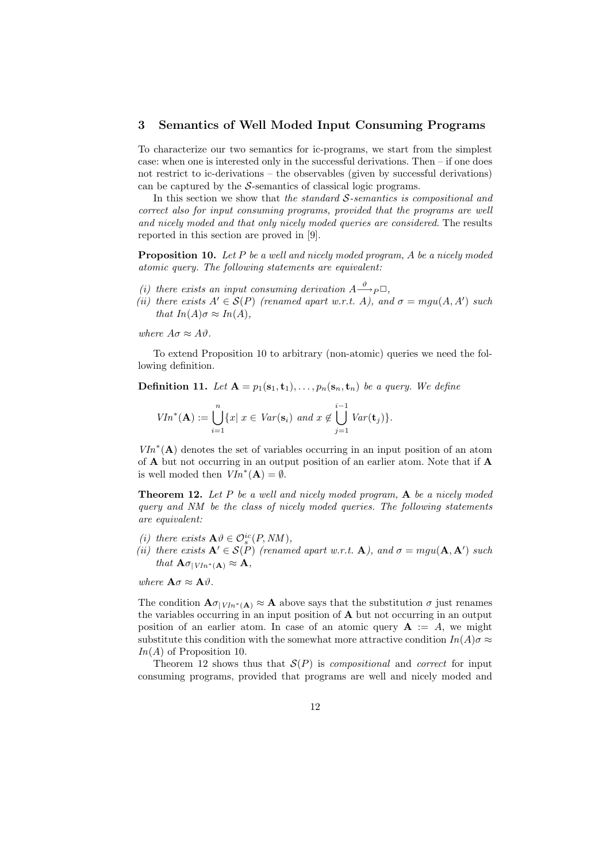## 3 Semantics of Well Moded Input Consuming Programs

To characterize our two semantics for ic-programs, we start from the simplest case: when one is interested only in the successful derivations. Then – if one does not restrict to ic-derivations – the observables (given by successful derivations) can be captured by the  $S$ -semantics of classical logic programs.

In this section we show that the standard  $S$ -semantics is compositional and correct also for input consuming programs, provided that the programs are well and nicely moded and that only nicely moded queries are considered. The results reported in this section are proved in [9].

**Proposition 10.** Let P be a well and nicely moded program, A be a nicely moded atomic query. The following statements are equivalent:

- (i) there exists an input consuming derivation  $A \xrightarrow{\vartheta} P \Box$ ,
- (ii) there exists  $A' \in \mathcal{S}(P)$  (renamed apart w.r.t. A), and  $\sigma = mgu(A, A')$  such that  $In(A)\sigma \approx In(A)$ ,

where  $A\sigma \approx A\vartheta$ .

To extend Proposition 10 to arbitrary (non-atomic) queries we need the following definition.

**Definition 11.** Let  $A = p_1(s_1, t_1), \ldots, p_n(s_n, t_n)$  be a query. We define

$$
VIn^*(\mathbf{A}) := \bigcup_{i=1}^n \{x \mid x \in Var(\mathbf{s}_i) \text{ and } x \notin \bigcup_{j=1}^{i-1} Var(\mathbf{t}_j)\}.
$$

 $VIn<sup>*</sup>(**A**)$  denotes the set of variables occurring in an input position of an atom of A but not occurring in an output position of an earlier atom. Note that if A is well moded then  $VIn^*(\mathbf{A}) = \emptyset$ .

**Theorem 12.** Let P be a well and nicely moded program,  $\bf{A}$  be a nicely moded query and NM be the class of nicely moded queries. The following statements are equivalent:

- (i) there exists  $\mathbf{A}\theta \in \mathcal{O}_s^{ic}(P, NM)$ ,
- (ii) there exists  $\mathbf{A}' \in \mathcal{S}(P)$  (renamed apart w.r.t.  $\mathbf{A}$ ), and  $\sigma = mgu(\mathbf{A}, \mathbf{A}')$  such that  $\mathbf{A}\sigma_{|VIn^*(\mathbf{A})} \approx \mathbf{A},$

where  $\mathbf{A}\sigma \approx \mathbf{A}\vartheta$ .

The condition  $\mathbf{A}\sigma_{|VIn^*(\mathbf{A})}\approx \mathbf{A}$  above says that the substitution  $\sigma$  just renames the variables occurring in an input position of  $\bf{A}$  but not occurring in an output position of an earlier atom. In case of an atomic query  $A := A$ , we might substitute this condition with the somewhat more attractive condition  $In(A)\sigma \approx$  $In(A)$  of Proposition 10.

Theorem 12 shows thus that  $S(P)$  is *compositional* and *correct* for input consuming programs, provided that programs are well and nicely moded and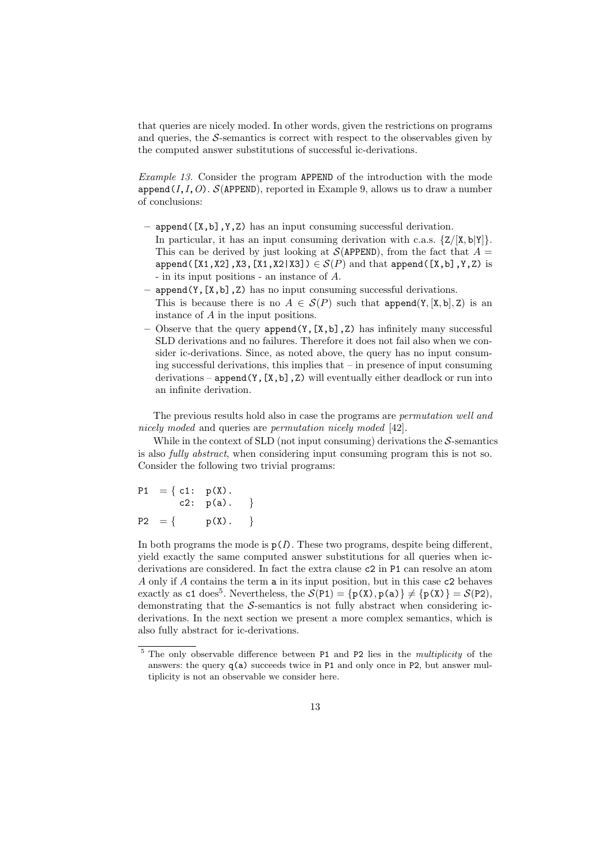that queries are nicely moded. In other words, given the restrictions on programs and queries, the  $S$ -semantics is correct with respect to the observables given by the computed answer substitutions of successful ic-derivations.

Example 13. Consider the program APPEND of the introduction with the mode append(I,I,O).  $S$ (APPEND), reported in Example 9, allows us to draw a number of conclusions:

- $-$  append( $[X,b]$ ,  $Y$ ,  $Z$ ) has an input consuming successful derivation. In particular, it has an input consuming derivation with c.a.s.  $\{Z/[\mathbf{X}, \mathbf{b}|\mathbf{Y}]\}.$ This can be derived by just looking at  $\mathcal{S}(APPEND)$ , from the fact that  $A =$ append( $[X1, X2]$ ,X3, $[X1, X2|X3]$ )  $\in \mathcal{S}(P)$  and that append( $[X, b]$ ,Y,Z) is - in its input positions - an instance of A.
- $append(Y, [X, b], Z)$  has no input consuming successful derivations. This is because there is no  $A \in \mathcal{S}(P)$  such that append $(Y, [X, b], Z)$  is an instance of A in the input positions.
- Observe that the query  $append(Y, [X, b], Z)$  has infinitely many successful SLD derivations and no failures. Therefore it does not fail also when we consider ic-derivations. Since, as noted above, the query has no input consuming successful derivations, this implies that – in presence of input consuming derivations – append(Y, [X,b],Z) will eventually either deadlock or run into an infinite derivation.

The previous results hold also in case the programs are permutation well and nicely moded and queries are *permutation nicely moded* [42].

While in the context of SLD (not input consuming) derivations the  $S$ -semantics is also fully abstract, when considering input consuming program this is not so. Consider the following two trivial programs:

P1 = { c1: p(X). c2: p(a). } P2 = { p(X). }

In both programs the mode is  $p(I)$ . These two programs, despite being different, yield exactly the same computed answer substitutions for all queries when icderivations are considered. In fact the extra clause c2 in P1 can resolve an atom A only if A contains the term a in its input position, but in this case c2 behaves exactly as c1 does<sup>5</sup>. Nevertheless, the  $S(P1) = {p(X), p(a)} \neq {p(X)} = S(P2)$ , demonstrating that the S-semantics is not fully abstract when considering icderivations. In the next section we present a more complex semantics, which is also fully abstract for ic-derivations.

<sup>&</sup>lt;sup>5</sup> The only observable difference between P1 and P2 lies in the *multiplicity* of the answers: the query  $q(a)$  succeeds twice in P1 and only once in P2, but answer multiplicity is not an observable we consider here.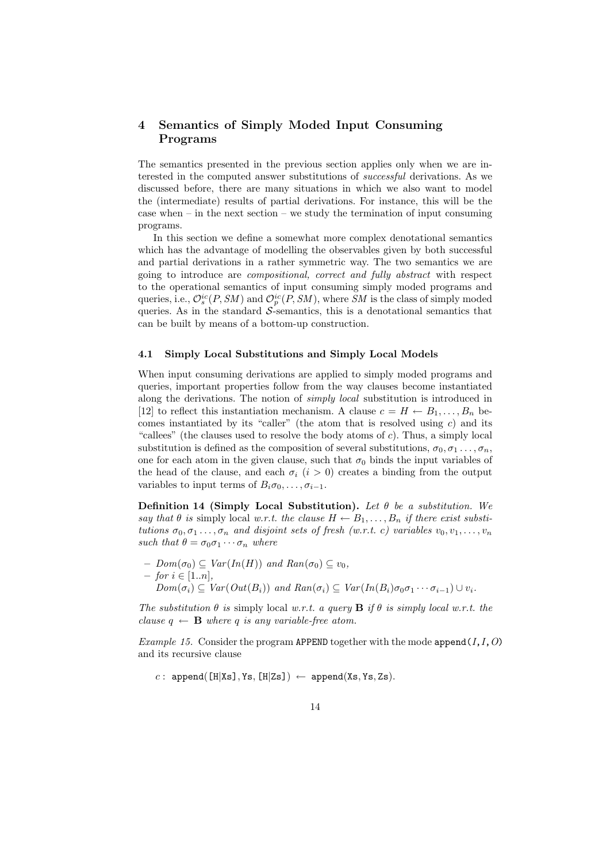# 4 Semantics of Simply Moded Input Consuming Programs

The semantics presented in the previous section applies only when we are interested in the computed answer substitutions of successful derivations. As we discussed before, there are many situations in which we also want to model the (intermediate) results of partial derivations. For instance, this will be the case when  $-$  in the next section  $-$  we study the termination of input consuming programs.

In this section we define a somewhat more complex denotational semantics which has the advantage of modelling the observables given by both successful and partial derivations in a rather symmetric way. The two semantics we are going to introduce are compositional, correct and fully abstract with respect to the operational semantics of input consuming simply moded programs and queries, i.e.,  $\mathcal{O}_s^{ic}(P, SM)$  and  $\mathcal{O}_p^{ic}(P, SM)$ , where SM is the class of simply moded queries. As in the standard  $S$ -semantics, this is a denotational semantics that can be built by means of a bottom-up construction.

#### 4.1 Simply Local Substitutions and Simply Local Models

When input consuming derivations are applied to simply moded programs and queries, important properties follow from the way clauses become instantiated along the derivations. The notion of simply local substitution is introduced in [12] to reflect this instantiation mechanism. A clause  $c = H \leftarrow B_1, \ldots, B_n$  becomes instantiated by its "caller" (the atom that is resolved using  $c$ ) and its "callees" (the clauses used to resolve the body atoms of  $c$ ). Thus, a simply local substitution is defined as the composition of several substitutions,  $\sigma_0, \sigma_1, \ldots, \sigma_n$ , one for each atom in the given clause, such that  $\sigma_0$  binds the input variables of the head of the clause, and each  $\sigma_i$  (i > 0) creates a binding from the output variables to input terms of  $B_i \sigma_0, \ldots, \sigma_{i-1}$ .

Definition 14 (Simply Local Substitution). Let  $\theta$  be a substitution. We say that  $\theta$  is simply local w.r.t. the clause  $H \leftarrow B_1, \ldots, B_n$  if there exist substitutions  $\sigma_0, \sigma_1 \ldots, \sigma_n$  and disjoint sets of fresh (w.r.t. c) variables  $v_0, v_1, \ldots, v_n$ such that  $\theta = \sigma_0 \sigma_1 \cdots \sigma_n$  where

 $– Dom(\sigma_0) \subseteq Var(In(H))$  and  $Ran(\sigma_0) \subseteq v_0$ ,  $−$  for  $i \in [1..n],$  $Dom(\sigma_i) \subseteq Var(Out(B_i))$  and  $Ran(\sigma_i) \subseteq Var(In(B_i)\sigma_0\sigma_1\cdots\sigma_{i-1}) \cup v_i.$ 

The substitution  $\theta$  is simply local w.r.t. a query **B** if  $\theta$  is simply local w.r.t. the clause  $q \leftarrow \mathbf{B}$  where q is any variable-free atom.

Example 15. Consider the program APPEND together with the mode append( $I, I, O$ ) and its recursive clause

c : append( $[H|Xs]$ , Ys,  $[H|Zs]$ )  $\leftarrow$  append(Xs, Ys, Zs).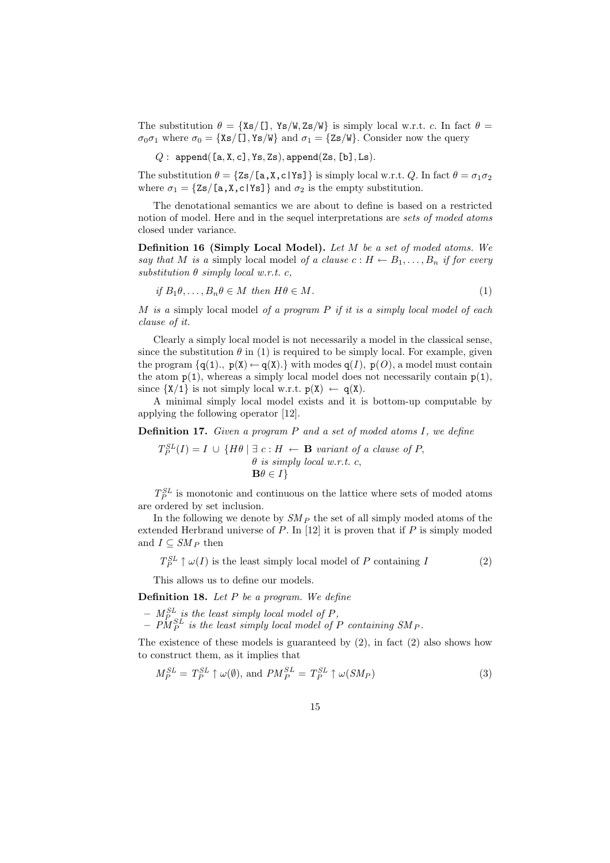The substitution  $\theta = \{Xs/[1, Ys/W, Zs/W\}$  is simply local w.r.t. c. In fact  $\theta =$  $\sigma_0\sigma_1$  where  $\sigma_0 = {\{Xs/[1, Ys/W\}}$  and  $\sigma_1 = {\{Zs/W\}}$ . Consider now the query

 $Q:$  append([a, X, c], Ys, Zs), append(Zs, [b], Ls).

The substitution  $\theta = \{Zs/[\mathbf{a}, \mathbf{X}, \mathbf{c} | \mathbf{Ys}]\}$  is simply local w.r.t. Q. In fact  $\theta = \sigma_1 \sigma_2$ where  $\sigma_1 = \{Zs/[\mathbf{a}, \mathbf{X}, \mathbf{c} | \mathbf{Ys}]\}\$ and  $\sigma_2$  is the empty substitution.

The denotational semantics we are about to define is based on a restricted notion of model. Here and in the sequel interpretations are sets of moded atoms closed under variance.

Definition 16 (Simply Local Model). Let M be a set of moded atoms. We say that M is a simply local model of a clause  $c: H \leftarrow B_1, \ldots, B_n$  if for every substitution  $\theta$  simply local w.r.t. c,

$$
if B_1\theta, \dots, B_n\theta \in M \text{ then } H\theta \in M. \tag{1}
$$

M is a simply local model of a program  $P$  if it is a simply local model of each clause of it.

Clearly a simply local model is not necessarily a model in the classical sense, since the substitution  $\theta$  in (1) is required to be simply local. For example, given the program  $\{q(1), p(X) \leftarrow q(X)\}$  with modes  $q(I), p(O)$ , a model must contain the atom  $p(1)$ , whereas a simply local model does not necessarily contain  $p(1)$ , since  $\{X/1\}$  is not simply local w.r.t.  $p(X) \leftarrow q(X)$ .

A minimal simply local model exists and it is bottom-up computable by applying the following operator [12].

Definition 17. Given a program P and a set of moded atoms I, we define

$$
T_P^{SL}(I) = I \cup \{H\theta \mid \exists c : H \leftarrow \mathbf{B} \text{ variant of a clause of } P, \theta \text{ is simply local } w.r.t. \text{ } c,
$$

$$
\mathbf{B}\theta \in I \}
$$

 $T_P^{SL}$  is monotonic and continuous on the lattice where sets of moded atoms are ordered by set inclusion.

In the following we denote by  $SM_P$  the set of all simply moded atoms of the extended Herbrand universe of  $P$ . In [12] it is proven that if  $P$  is simply moded and  $I \subseteq SM_P$  then

$$
T_P^{SL} \uparrow \omega(I)
$$
 is the least simply local model of P containing I (2)

This allows us to define our models.

**Definition 18.** Let  $P$  be a program. We define

 $- M_{P_{\text{S}}}}^{SL}$  is the least simply local model of P,

 $- P M_P^{SL}$  is the least simply local model of P containing SM<sub>P</sub>.

The existence of these models is guaranteed by  $(2)$ , in fact  $(2)$  also shows how to construct them, as it implies that

$$
M_P^{SL} = T_P^{SL} \uparrow \omega(\emptyset), \text{ and } PM_P^{SL} = T_P^{SL} \uparrow \omega(SM_P) \tag{3}
$$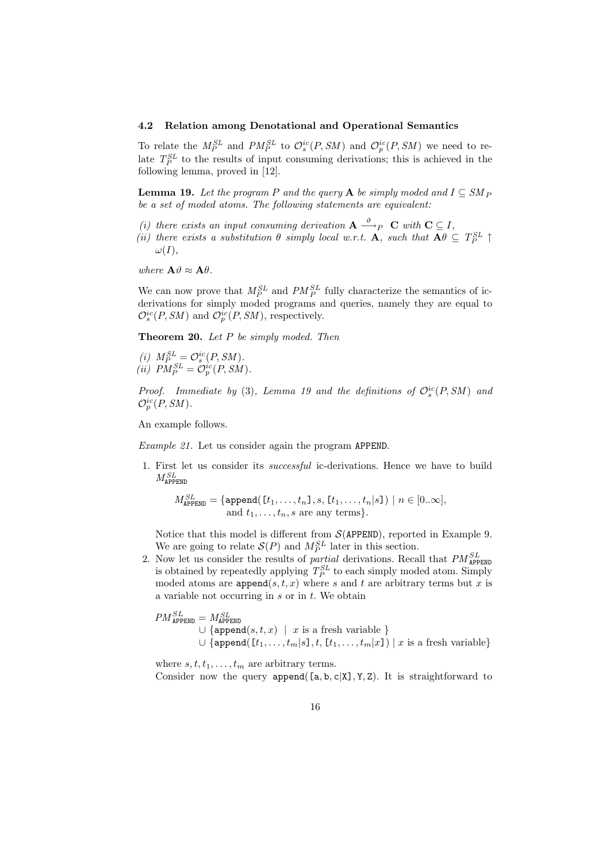#### 4.2 Relation among Denotational and Operational Semantics

To relate the  $M_P^{SL}$  and  $PM_P^{SL}$  to  $\mathcal{O}_s^{ic}(P,SM)$  and  $\mathcal{O}_p^{ic}(P,SM)$  we need to relate  $T_P^{SL}$  to the results of input consuming derivations; this is achieved in the following lemma, proved in [12].

**Lemma 19.** Let the program P and the query A be simply moded and  $I \subseteq SM_P$ be a set of moded atoms. The following statements are equivalent:

- (i) there exists an input consuming derivation  $\mathbf{A} \stackrel{\vartheta}{\longrightarrow}_P \mathbf{C}$  with  $\mathbf{C} \subseteq I$ ,
- (ii) there exists a substitution  $\theta$  simply local w.r.t. **A**, such that  $\mathbf{A}\theta \subseteq T_P^{SL} \uparrow$  $\omega(I),$

where  $\mathbf{A}\vartheta \approx \mathbf{A}\theta$ .

We can now prove that  $M_P^{SL}$  and  $PM_P^{SL}$  fully characterize the semantics of icderivations for simply moded programs and queries, namely they are equal to  $\mathcal{O}_s^{ic}(P,SM)$  and  $\mathcal{O}_p^{ic}(P,SM)$ , respectively.

**Theorem 20.** Let  $P$  be simply moded. Then

(i)  $M_P^{SL} = \mathcal{O}_s^{ic}(P, SM)$ . (ii)  $PM_P^{SL} = \mathcal{O}_p^{ic}(P, SM)$ .

Proof. Immediate by (3), Lemma 19 and the definitions of  $\mathcal{O}_s^{ic}(P,SM)$  and  $\mathcal{O}_p^{ic}(P,SM)$ .

An example follows.

Example 21. Let us consider again the program APPEND.

1. First let us consider its successful ic-derivations. Hence we have to build  $M_{\tt APPEND}^{SL}$ 

$$
M_{\texttt{APPEND}}^{SL} = \{ \texttt{append}(\llbracket t_1, \ldots, t_n \rrbracket, s, \llbracket t_1, \ldots, t_n \rrbracket s \rrbracket) \mid n \in [0..\infty], \\ \text{and } t_1, \ldots, t_n, s \text{ are any terms} \}.
$$

Notice that this model is different from  $\mathcal{S}(APPEND)$ , reported in Example 9. We are going to relate  $S(P)$  and  $M_P^{SL}$  later in this section.

2. Now let us consider the results of *partial* derivations. Recall that  $PM_{\text{APPEND}}^{SL}$ is obtained by repeatedly applying  $T_P^{SL}$  to each simply moded atom. Simply moded atoms are append $(s, t, x)$  where s and t are arbitrary terms but x is a variable not occurring in  $s$  or in  $t$ . We obtain

$$
PM_{\texttt{APPEND}}^{SL} = M_{\texttt{APPEND}}^{SL}
$$
  
\n
$$
\cup \{ \texttt{append}(s, t, x) \mid x \text{ is a fresh variable } \}
$$
  
\n
$$
\cup \{ \texttt{append}(\texttt{[}t_1, \ldots, t_m | s], t, \texttt{[}t_1, \ldots, t_m | x]) \mid x \text{ is a fresh variable } \}
$$

where  $s, t, t_1, \ldots, t_m$  are arbitrary terms. Consider now the query append( $[a, b, c|X]$ , Y, Z). It is straightforward to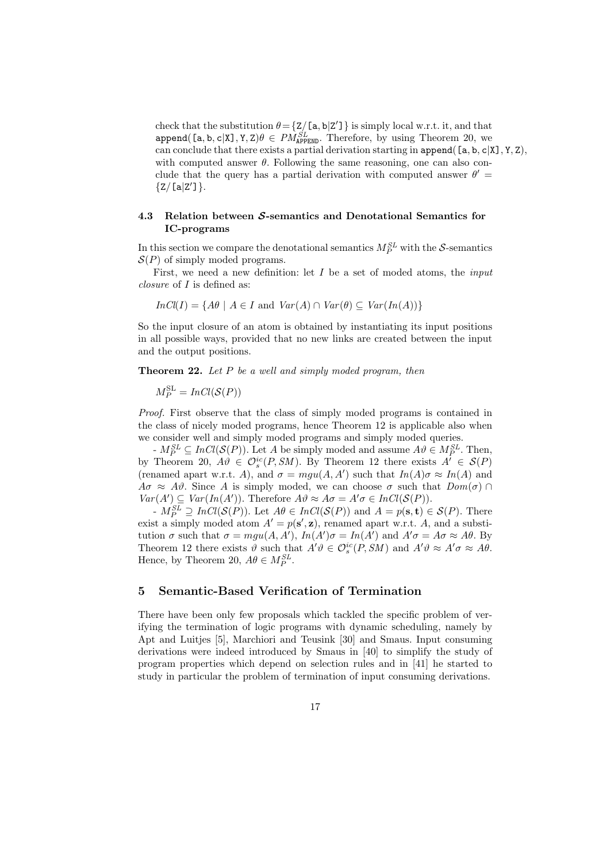check that the substitution  $\theta = \{Z/[\mathsf{a}, \mathsf{b}|Z']\}$  is simply local w.r.t. it, and that  $append([a, b, c|X], Y, Z)\theta \in PM_{APPEND}^{SL}$ . Therefore, by using Theorem 20, we can conclude that there exists a partial derivation starting in append( $[a, b, c|X]$ , Y, Z), with computed answer  $\theta$ . Following the same reasoning, one can also conclude that the query has a partial derivation with computed answer  $\theta'$  =  ${Z/[a|Z']}.$ 

## 4.3 Relation between  $S$ -semantics and Denotational Semantics for IC-programs

In this section we compare the denotational semantics  $M_P^{SL}$  with the S-semantics  $S(P)$  of simply moded programs.

First, we need a new definition: let  $I$  be a set of moded atoms, the *input* closure of I is defined as:

$$
InCl(I) = \{A\theta \mid A \in I \text{ and } Var(A) \cap Var(\theta) \subseteq Var(In(A))\}
$$

So the input closure of an atom is obtained by instantiating its input positions in all possible ways, provided that no new links are created between the input and the output positions.

**Theorem 22.** Let  $P$  be a well and simply moded program, then

 $M_P^{\text{SL}} = InCl(\mathcal{S}(P))$ 

Proof. First observe that the class of simply moded programs is contained in the class of nicely moded programs, hence Theorem 12 is applicable also when we consider well and simply moded programs and simply moded queries.

 $-M_P^{SL} \subseteq InCl(\mathcal{S}(P))$ . Let A be simply moded and assume  $A\vartheta \in M_P^{SL}$ . Then, by Theorem 20,  $A\vartheta \in \mathcal{O}_s^{ic}(P,SM)$ . By Theorem 12 there exists  $A' \in \mathcal{S}(P)$ (renamed apart w.r.t. A), and  $\sigma = mgu(A, A')$  such that  $In(A)\sigma \approx In(A)$  and  $A\sigma \approx A\vartheta$ . Since A is simply moded, we can choose  $\sigma$  such that  $Dom(\sigma) \cap$  $Var(A') \subseteq Var(In(A'))$ . Therefore  $A\vartheta \approx A\sigma = A'\sigma \in InCl(\mathcal{S}(P)).$ 

 $-M_P^{SL} \supseteq InCl(\mathcal{S}(P))$ . Let  $A\theta \in InCl(\mathcal{S}(P))$  and  $A = p(\mathbf{s}, \mathbf{t}) \in \mathcal{S}(P)$ . There exist a simply moded atom  $A' = p(\mathbf{s}', \mathbf{z})$ , renamed apart w.r.t. A, and a substitution  $\sigma$  such that  $\sigma = mgu(A, A'), In(A')\sigma = In(A')$  and  $A'\sigma = A\sigma \approx A\theta$ . By Theorem 12 there exists  $\vartheta$  such that  $A'\vartheta \in \mathcal{O}_s^{ic}(P,SM)$  and  $A'\vartheta \approx A'\sigma \approx A\theta$ . Hence, by Theorem 20,  $A\theta \in M_P^{SL}$ .

# 5 Semantic-Based Verification of Termination

There have been only few proposals which tackled the specific problem of verifying the termination of logic programs with dynamic scheduling, namely by Apt and Luitjes [5], Marchiori and Teusink [30] and Smaus. Input consuming derivations were indeed introduced by Smaus in [40] to simplify the study of program properties which depend on selection rules and in [41] he started to study in particular the problem of termination of input consuming derivations.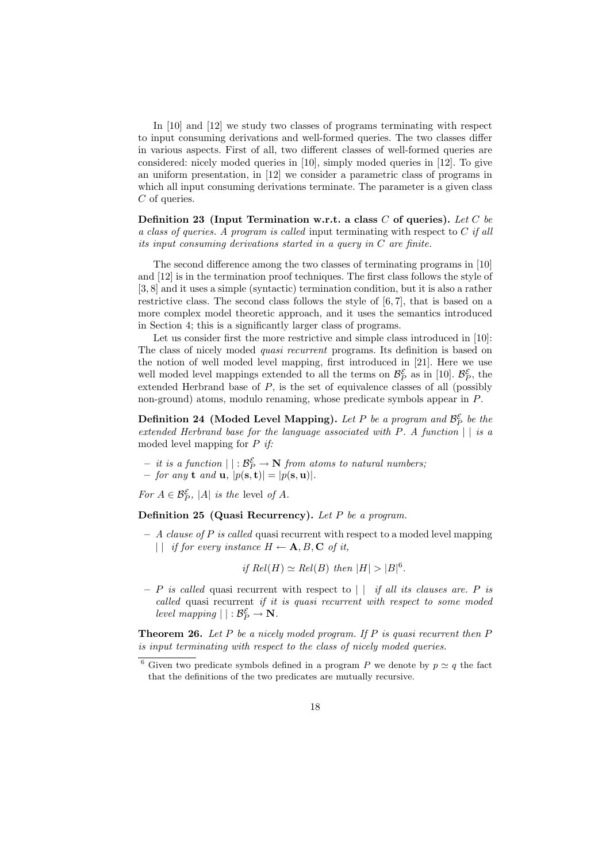In [10] and [12] we study two classes of programs terminating with respect to input consuming derivations and well-formed queries. The two classes differ in various aspects. First of all, two different classes of well-formed queries are considered: nicely moded queries in [10], simply moded queries in [12]. To give an uniform presentation, in [12] we consider a parametric class of programs in which all input consuming derivations terminate. The parameter is a given class C of queries.

Definition 23 (Input Termination w.r.t. a class  $C$  of queries). Let  $C$  be a class of queries. A program is called input terminating with respect to  $C$  if all its input consuming derivations started in a query in C are finite.

The second difference among the two classes of terminating programs in [10] and [12] is in the termination proof techniques. The first class follows the style of [3, 8] and it uses a simple (syntactic) termination condition, but it is also a rather restrictive class. The second class follows the style of [6, 7], that is based on a more complex model theoretic approach, and it uses the semantics introduced in Section 4; this is a significantly larger class of programs.

Let us consider first the more restrictive and simple class introduced in [10]: The class of nicely moded quasi recurrent programs. Its definition is based on the notion of well moded level mapping, first introduced in [21]. Here we use well moded level mappings extended to all the terms on  $\mathcal{B}_P^{\mathcal{E}}$  as in [10].  $\mathcal{B}_P^{\mathcal{E}}$ , the extended Herbrand base of  $P$ , is the set of equivalence classes of all (possibly non-ground) atoms, modulo renaming, whose predicate symbols appear in P.

Definition 24 (Moded Level Mapping). Let P be a program and  $\mathcal{B}_P^{\mathcal{E}}$  be the extended Herbrand base for the language associated with  $P$ . A function  $||$  is a moded level mapping for  $P$  if:

- $-$  it is a function  $||: \mathcal{B}_P^{\mathcal{E}} \to \mathbf{N}$  from atoms to natural numbers;
- $-$  for any **t** and **u**,  $|p(\mathbf{s}, \mathbf{t})| = |p(\mathbf{s}, \mathbf{u})|$ .

For  $A \in \mathcal{B}_P^{\mathcal{E}}$ , |A| is the level of A.

Definition 25 (Quasi Recurrency). Let  $P$  be a program.

 $- A$  clause of P is called quasi recurrent with respect to a moded level mapping | | if for every instance  $H \leftarrow A, B, C$  of it,

if  $Rel(H) \simeq Rel(B)$  then  $|H| > |B|^6$ .

– P is called quasi recurrent with respect to  $|\cdot|$  if all its clauses are. P is called quasi recurrent if it is quasi recurrent with respect to some moded level mapping  $| | : \mathcal{B}_P^{\mathcal{E}} \to \mathbf{N}$ .

**Theorem 26.** Let P be a nicely moded program. If P is quasi recurrent then P is input terminating with respect to the class of nicely moded queries.

<sup>&</sup>lt;sup>6</sup> Given two predicate symbols defined in a program P we denote by  $p \simeq q$  the fact that the definitions of the two predicates are mutually recursive.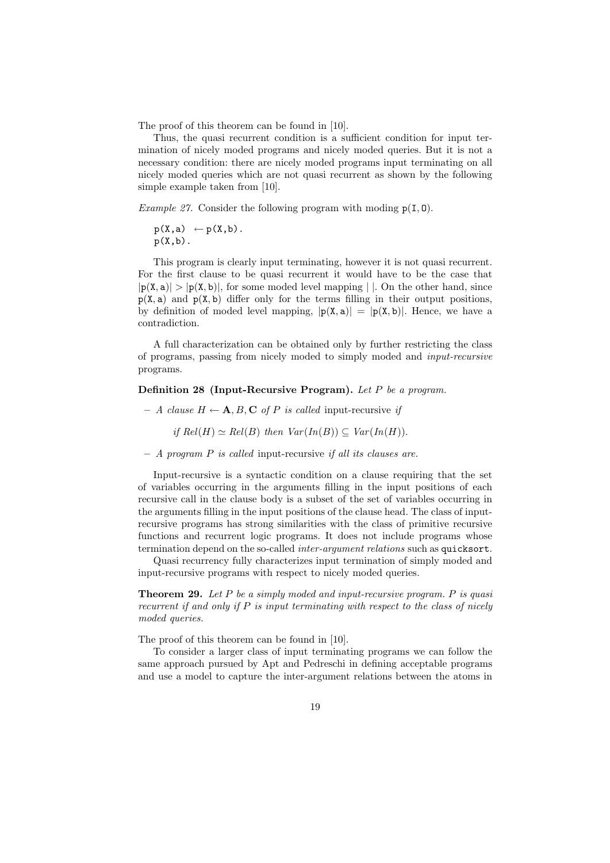The proof of this theorem can be found in [10].

Thus, the quasi recurrent condition is a sufficient condition for input termination of nicely moded programs and nicely moded queries. But it is not a necessary condition: there are nicely moded programs input terminating on all nicely moded queries which are not quasi recurrent as shown by the following simple example taken from [10].

Example 27. Consider the following program with moding  $p(I, 0)$ .

$$
p(X,a) \leftarrow p(X,b).
$$

$$
p(X,b).
$$

This program is clearly input terminating, however it is not quasi recurrent. For the first clause to be quasi recurrent it would have to be the case that  $|p(X, a)| > |p(X, b)|$ , for some moded level mapping | |. On the other hand, since  $p(X, a)$  and  $p(X, b)$  differ only for the terms filling in their output positions, by definition of moded level mapping,  $|p(X, a)| = |p(X, b)|$ . Hence, we have a contradiction.

A full characterization can be obtained only by further restricting the class of programs, passing from nicely moded to simply moded and input-recursive programs.

#### Definition 28 (Input-Recursive Program). Let P be a program.

– A clause  $H \leftarrow A, B, C$  of P is called input-recursive if

if 
$$
Rel(H) \simeq Rel(B)
$$
 then  $Var(In(B)) \subseteq Var(In(H))$ .

 $-$  A program  $P$  is called input-recursive if all its clauses are.

Input-recursive is a syntactic condition on a clause requiring that the set of variables occurring in the arguments filling in the input positions of each recursive call in the clause body is a subset of the set of variables occurring in the arguments filling in the input positions of the clause head. The class of inputrecursive programs has strong similarities with the class of primitive recursive functions and recurrent logic programs. It does not include programs whose termination depend on the so-called *inter-argument relations* such as quicksort.

Quasi recurrency fully characterizes input termination of simply moded and input-recursive programs with respect to nicely moded queries.

**Theorem 29.** Let  $P$  be a simply moded and input-recursive program.  $P$  is quasi recurrent if and only if  $P$  is input terminating with respect to the class of nicely moded queries.

The proof of this theorem can be found in [10].

To consider a larger class of input terminating programs we can follow the same approach pursued by Apt and Pedreschi in defining acceptable programs and use a model to capture the inter-argument relations between the atoms in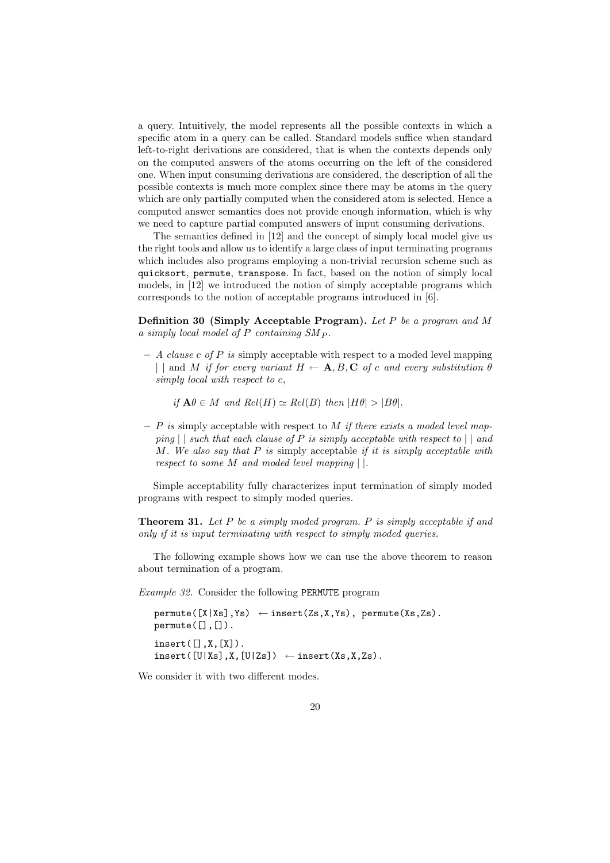a query. Intuitively, the model represents all the possible contexts in which a specific atom in a query can be called. Standard models suffice when standard left-to-right derivations are considered, that is when the contexts depends only on the computed answers of the atoms occurring on the left of the considered one. When input consuming derivations are considered, the description of all the possible contexts is much more complex since there may be atoms in the query which are only partially computed when the considered atom is selected. Hence a computed answer semantics does not provide enough information, which is why we need to capture partial computed answers of input consuming derivations.

The semantics defined in [12] and the concept of simply local model give us the right tools and allow us to identify a large class of input terminating programs which includes also programs employing a non-trivial recursion scheme such as quicksort, permute, transpose. In fact, based on the notion of simply local models, in [12] we introduced the notion of simply acceptable programs which corresponds to the notion of acceptable programs introduced in [6].

**Definition 30 (Simply Acceptable Program).** Let P be a program and M a simply local model of  $P$  containing  $SM_P$ .

 $- A \; clause \; c \; of \; P \; is \; simply \; acceptable \; with \; respect \; to \; a \; modeled \; level \; mapping$ | | and M if for every variant  $H \leftarrow \mathbf{A}, B, \mathbf{C}$  of c and every substitution  $\theta$ simply local with respect to c,

if  $\mathbf{A}\theta \in M$  and  $Rel(H) \simeq Rel(B)$  then  $|H\theta| > |B\theta|$ .

 $- P$  is simply acceptable with respect to M if there exists a moded level mapping  $||$  such that each clause of P is simply acceptable with respect to  $||$  and M. We also say that  $P$  is simply acceptable if it is simply acceptable with respect to some M and moded level mapping | |.

Simple acceptability fully characterizes input termination of simply moded programs with respect to simply moded queries.

**Theorem 31.** Let  $P$  be a simply moded program.  $P$  is simply acceptable if and only if it is input terminating with respect to simply moded queries.

The following example shows how we can use the above theorem to reason about termination of a program.

Example 32. Consider the following PERMUTE program

```
permute([X|Xs],Ys) \leftarrow insert(Zs,X,Ys), permute(Xs,Zs).
permute([],[]).
insert([], X, [X]).insert([U|Xs],X,[U|Zs]) \leftarrow insert(Xs,X,Zs).
```
We consider it with two different modes.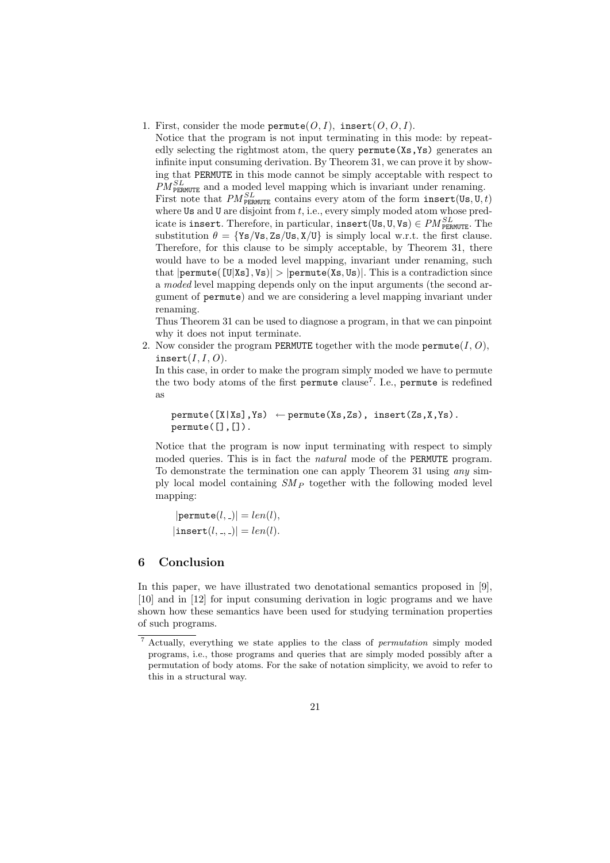1. First, consider the mode permute  $(0, I)$ , insert  $(0, 0, I)$ .

Notice that the program is not input terminating in this mode: by repeatedly selecting the rightmost atom, the query permute(Xs,Ys) generates an infinite input consuming derivation. By Theorem 31, we can prove it by showing that PERMUTE in this mode cannot be simply acceptable with respect to  $PM_{\text{PERMUTE}}^{SL}$  and a moded level mapping which is invariant under renaming. First note that  $PM_{\text{PERMUTE}}^{SL}$  contains every atom of the form insert(Us, U, t) where Us and U are disjoint from  $t$ , i.e., every simply moded atom whose predicate is insert. Therefore, in particular, insert(Us, U, Vs)  $\in PM_{\tt PERMUTE}^{SL}$ . The substitution  $\theta = \{Ys/Vs, Zs/Us, X/U\}$  is simply local w.r.t. the first clause. Therefore, for this clause to be simply acceptable, by Theorem 31, there would have to be a moded level mapping, invariant under renaming, such that  $|\text{permute}([U|Xs], Vs)| > |\text{permute}(Xs, Us)|$ . This is a contradiction since a moded level mapping depends only on the input arguments (the second argument of permute) and we are considering a level mapping invariant under renaming.

Thus Theorem 31 can be used to diagnose a program, in that we can pinpoint why it does not input terminate.

2. Now consider the program PERMUTE together with the mode permute  $(I, O)$ , insert $(I, I, O)$ .

In this case, in order to make the program simply moded we have to permute the two body atoms of the first permute clause<sup>7</sup>. I.e., permute is redefined as

```
permute([X|Xs],Ys) \leftarrow permute(Xs,Zs), insert(Zs,X,Ys).permute([], []).
```
Notice that the program is now input terminating with respect to simply moded queries. This is in fact the natural mode of the PERMUTE program. To demonstrate the termination one can apply Theorem 31 using any simply local model containing  $SM_P$  together with the following moded level mapping:

 $|$ permute $(l, )| = len(l),$  $|\text{insert}(l, \_, \_)| = len(l).$ 

# 6 Conclusion

In this paper, we have illustrated two denotational semantics proposed in [9], [10] and in [12] for input consuming derivation in logic programs and we have shown how these semantics have been used for studying termination properties of such programs.

<sup>7</sup> Actually, everything we state applies to the class of permutation simply moded programs, i.e., those programs and queries that are simply moded possibly after a permutation of body atoms. For the sake of notation simplicity, we avoid to refer to this in a structural way.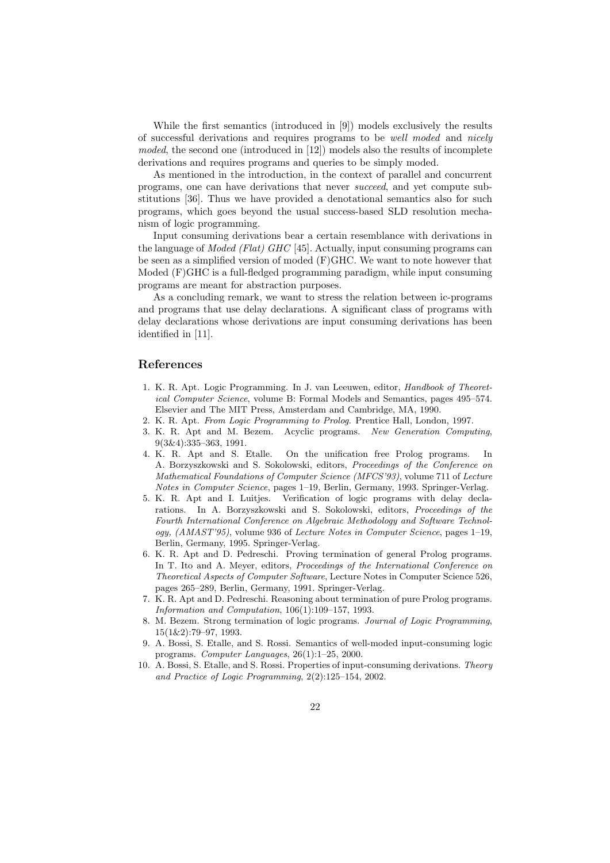While the first semantics (introduced in [9]) models exclusively the results of successful derivations and requires programs to be well moded and nicely moded, the second one (introduced in [12]) models also the results of incomplete derivations and requires programs and queries to be simply moded.

As mentioned in the introduction, in the context of parallel and concurrent programs, one can have derivations that never succeed, and yet compute substitutions [36]. Thus we have provided a denotational semantics also for such programs, which goes beyond the usual success-based SLD resolution mechanism of logic programming.

Input consuming derivations bear a certain resemblance with derivations in the language of Moded (Flat) GHC [45]. Actually, input consuming programs can be seen as a simplified version of moded (F)GHC. We want to note however that Moded (F)GHC is a full-fledged programming paradigm, while input consuming programs are meant for abstraction purposes.

As a concluding remark, we want to stress the relation between ic-programs and programs that use delay declarations. A significant class of programs with delay declarations whose derivations are input consuming derivations has been identified in [11].

#### References

- 1. K. R. Apt. Logic Programming. In J. van Leeuwen, editor, Handbook of Theoretical Computer Science, volume B: Formal Models and Semantics, pages 495–574. Elsevier and The MIT Press, Amsterdam and Cambridge, MA, 1990.
- 2. K. R. Apt. From Logic Programming to Prolog. Prentice Hall, London, 1997.
- 3. K. R. Apt and M. Bezem. Acyclic programs. New Generation Computing, 9(3&4):335–363, 1991.
- 4. K. R. Apt and S. Etalle. On the unification free Prolog programs. A. Borzyszkowski and S. Sokolowski, editors, Proceedings of the Conference on Mathematical Foundations of Computer Science (MFCS'93), volume 711 of Lecture Notes in Computer Science, pages 1–19, Berlin, Germany, 1993. Springer-Verlag.
- 5. K. R. Apt and I. Luitjes. Verification of logic programs with delay declarations. In A. Borzyszkowski and S. Sokolowski, editors, Proceedings of the Fourth International Conference on Algebraic Methodology and Software Technology, (AMAST'95), volume 936 of Lecture Notes in Computer Science, pages 1–19, Berlin, Germany, 1995. Springer-Verlag.
- 6. K. R. Apt and D. Pedreschi. Proving termination of general Prolog programs. In T. Ito and A. Meyer, editors, *Proceedings of the International Conference on* Theoretical Aspects of Computer Software, Lecture Notes in Computer Science 526, pages 265–289, Berlin, Germany, 1991. Springer-Verlag.
- 7. K. R. Apt and D. Pedreschi. Reasoning about termination of pure Prolog programs. Information and Computation, 106(1):109–157, 1993.
- 8. M. Bezem. Strong termination of logic programs. Journal of Logic Programming, 15(1&2):79–97, 1993.
- 9. A. Bossi, S. Etalle, and S. Rossi. Semantics of well-moded input-consuming logic programs. Computer Languages, 26(1):1–25, 2000.
- 10. A. Bossi, S. Etalle, and S. Rossi. Properties of input-consuming derivations. Theory and Practice of Logic Programming, 2(2):125–154, 2002.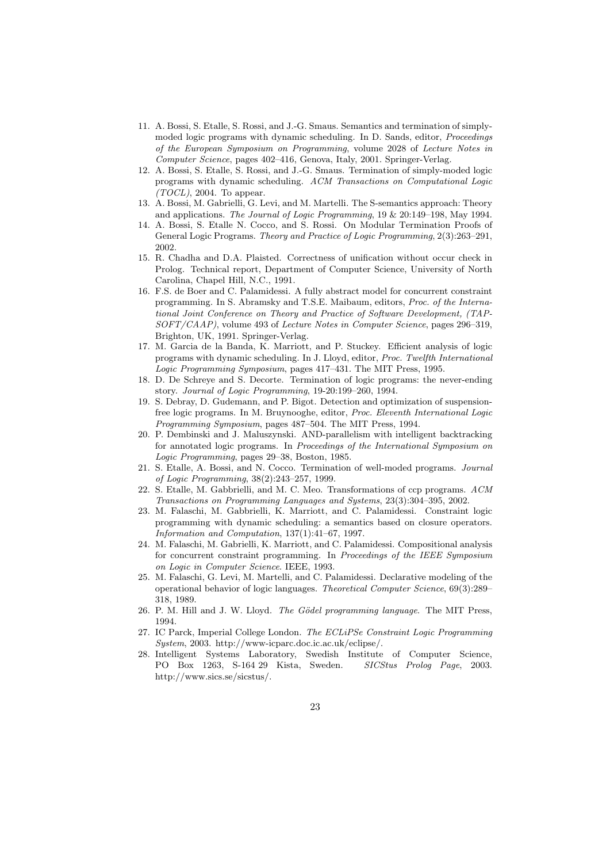- 11. A. Bossi, S. Etalle, S. Rossi, and J.-G. Smaus. Semantics and termination of simplymoded logic programs with dynamic scheduling. In D. Sands, editor, *Proceedings* of the European Symposium on Programming, volume 2028 of Lecture Notes in Computer Science, pages 402–416, Genova, Italy, 2001. Springer-Verlag.
- 12. A. Bossi, S. Etalle, S. Rossi, and J.-G. Smaus. Termination of simply-moded logic programs with dynamic scheduling. ACM Transactions on Computational Logic  $(TOCL)$ , 2004. To appear.
- 13. A. Bossi, M. Gabrielli, G. Levi, and M. Martelli. The S-semantics approach: Theory and applications. The Journal of Logic Programming, 19 & 20:149–198, May 1994.
- 14. A. Bossi, S. Etalle N. Cocco, and S. Rossi. On Modular Termination Proofs of General Logic Programs. Theory and Practice of Logic Programming, 2(3):263–291, 2002.
- 15. R. Chadha and D.A. Plaisted. Correctness of unification without occur check in Prolog. Technical report, Department of Computer Science, University of North Carolina, Chapel Hill, N.C., 1991.
- 16. F.S. de Boer and C. Palamidessi. A fully abstract model for concurrent constraint programming. In S. Abramsky and T.S.E. Maibaum, editors, Proc. of the International Joint Conference on Theory and Practice of Software Development, (TAP-SOFT/CAAP), volume 493 of Lecture Notes in Computer Science, pages 296–319, Brighton, UK, 1991. Springer-Verlag.
- 17. M. Garcia de la Banda, K. Marriott, and P. Stuckey. Efficient analysis of logic programs with dynamic scheduling. In J. Lloyd, editor, Proc. Twelfth International Logic Programming Symposium, pages 417–431. The MIT Press, 1995.
- 18. D. De Schreye and S. Decorte. Termination of logic programs: the never-ending story. Journal of Logic Programming, 19-20:199–260, 1994.
- 19. S. Debray, D. Gudemann, and P. Bigot. Detection and optimization of suspensionfree logic programs. In M. Bruynooghe, editor, Proc. Eleventh International Logic Programming Symposium, pages 487–504. The MIT Press, 1994.
- 20. P. Dembinski and J. Maluszynski. AND-parallelism with intelligent backtracking for annotated logic programs. In Proceedings of the International Symposium on Logic Programming, pages 29–38, Boston, 1985.
- 21. S. Etalle, A. Bossi, and N. Cocco. Termination of well-moded programs. Journal of Logic Programming, 38(2):243–257, 1999.
- 22. S. Etalle, M. Gabbrielli, and M. C. Meo. Transformations of ccp programs. ACM Transactions on Programming Languages and Systems, 23(3):304–395, 2002.
- 23. M. Falaschi, M. Gabbrielli, K. Marriott, and C. Palamidessi. Constraint logic programming with dynamic scheduling: a semantics based on closure operators. Information and Computation, 137(1):41–67, 1997.
- 24. M. Falaschi, M. Gabrielli, K. Marriott, and C. Palamidessi. Compositional analysis for concurrent constraint programming. In Proceedings of the IEEE Symposium on Logic in Computer Science. IEEE, 1993.
- 25. M. Falaschi, G. Levi, M. Martelli, and C. Palamidessi. Declarative modeling of the operational behavior of logic languages. Theoretical Computer Science, 69(3):289– 318, 1989.
- 26. P. M. Hill and J. W. Lloyd. The Gödel programming language. The MIT Press, 1994.
- 27. IC Parck, Imperial College London. The ECLiPSe Constraint Logic Programming System, 2003. http://www-icparc.doc.ic.ac.uk/eclipse/.
- 28. Intelligent Systems Laboratory, Swedish Institute of Computer Science, PO Box 1263, S-164 29 Kista, Sweden. SICStus Prolog Page, 2003. http://www.sics.se/sicstus/.